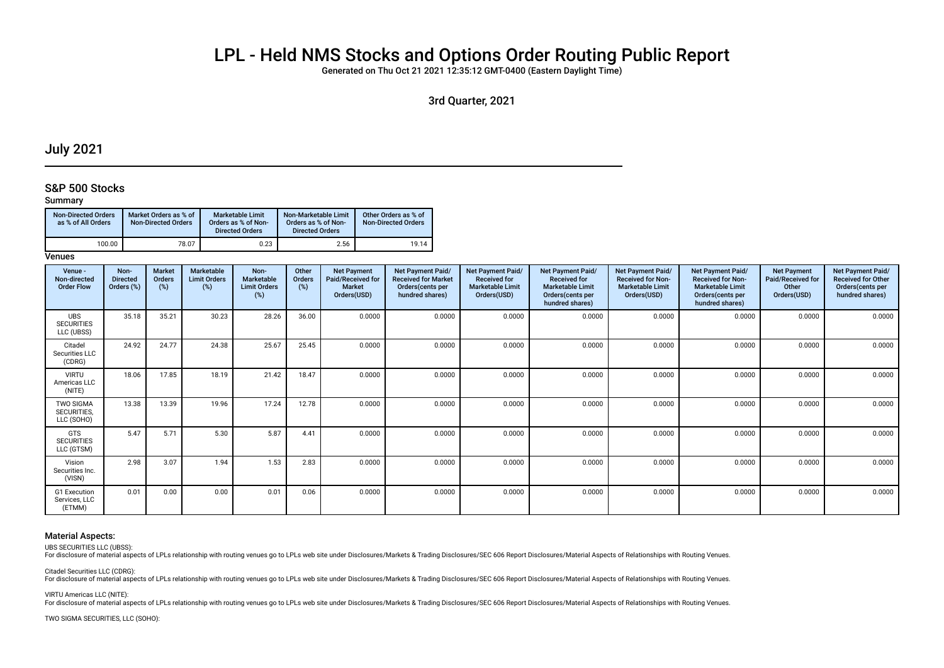# LPL - Held NMS Stocks and Options Order Routing Public Report

Generated on Thu Oct 21 2021 12:35:12 GMT-0400 (Eastern Daylight Time)

3rd Quarter, 2021

# July 2021

### S&P 500 Stocks

### Summary

| <b>Non-Directed Orders</b><br>as % of All Orders | Market Orders as % of<br><b>Non-Directed Orders</b> | Marketable Limit<br>Orders as % of Non-<br><b>Directed Orders</b> | Non-Marketable Limit<br>Orders as % of Non-<br><b>Directed Orders</b> | Other Orders as % of<br><b>Non-Directed Orders</b> |
|--------------------------------------------------|-----------------------------------------------------|-------------------------------------------------------------------|-----------------------------------------------------------------------|----------------------------------------------------|
| 100.00                                           | 78.07                                               | 0.23                                                              | 2.56                                                                  | 19.14                                              |

### **Venues**

| Venue -<br>Non-directed<br><b>Order Flow</b>  | Non-<br><b>Directed</b><br>Orders (%) | Market<br><b>Orders</b><br>$(\%)$ | Marketable<br><b>Limit Orders</b><br>(%) | Non-<br><b>Marketable</b><br><b>Limit Orders</b><br>(%) | Other<br>Orders<br>(%) | <b>Net Payment</b><br>Paid/Received for<br><b>Market</b><br>Orders(USD) | Net Payment Paid/<br><b>Received for Market</b><br>Orders (cents per<br>hundred shares) | <b>Net Payment Paid/</b><br><b>Received for</b><br><b>Marketable Limit</b><br>Orders(USD) | <b>Net Payment Paid/</b><br><b>Received for</b><br><b>Marketable Limit</b><br>Orders(cents per<br>hundred shares) | <b>Net Payment Paid/</b><br><b>Received for Non-</b><br><b>Marketable Limit</b><br>Orders(USD) | <b>Net Payment Paid/</b><br><b>Received for Non-</b><br><b>Marketable Limit</b><br>Orders (cents per<br>hundred shares) | <b>Net Payment</b><br><b>Paid/Received for</b><br>Other<br>Orders(USD) | Net Payment Paid/<br><b>Received for Other</b><br>Orders(cents per<br>hundred shares) |
|-----------------------------------------------|---------------------------------------|-----------------------------------|------------------------------------------|---------------------------------------------------------|------------------------|-------------------------------------------------------------------------|-----------------------------------------------------------------------------------------|-------------------------------------------------------------------------------------------|-------------------------------------------------------------------------------------------------------------------|------------------------------------------------------------------------------------------------|-------------------------------------------------------------------------------------------------------------------------|------------------------------------------------------------------------|---------------------------------------------------------------------------------------|
| <b>UBS</b><br><b>SECURITIES</b><br>LLC (UBSS) | 35.18                                 | 35.21                             | 30.23                                    | 28.26                                                   | 36.00                  | 0.0000                                                                  | 0.0000                                                                                  | 0.0000                                                                                    | 0.0000                                                                                                            | 0.0000                                                                                         | 0.0000                                                                                                                  | 0.0000                                                                 | 0.0000                                                                                |
| Citadel<br>Securities LLC<br>(CDRG)           | 24.92                                 | 24.77                             | 24.38                                    | 25.67                                                   | 25.45                  | 0.0000                                                                  | 0.0000                                                                                  | 0.0000                                                                                    | 0.0000                                                                                                            | 0.0000                                                                                         | 0.0000                                                                                                                  | 0.0000                                                                 | 0.0000                                                                                |
| <b>VIRTU</b><br>Americas LLC<br>(NITE)        | 18.06                                 | 17.85                             | 18.19                                    | 21.42                                                   | 18.47                  | 0.0000                                                                  | 0.0000                                                                                  | 0.0000                                                                                    | 0.0000                                                                                                            | 0.0000                                                                                         | 0.0000                                                                                                                  | 0.0000                                                                 | 0.0000                                                                                |
| <b>TWO SIGMA</b><br>SECURITIES,<br>LLC (SOHO) | 13.38                                 | 13.39                             | 19.96                                    | 17.24                                                   | 12.78                  | 0.0000                                                                  | 0.0000                                                                                  | 0.0000                                                                                    | 0.0000                                                                                                            | 0.0000                                                                                         | 0.0000                                                                                                                  | 0.0000                                                                 | 0.0000                                                                                |
| <b>GTS</b><br><b>SECURITIES</b><br>LLC (GTSM) | 5.47                                  | 5.71                              | 5.30                                     | 5.87                                                    | 4.41                   | 0.0000                                                                  | 0.0000                                                                                  | 0.0000                                                                                    | 0.0000                                                                                                            | 0.0000                                                                                         | 0.0000                                                                                                                  | 0.0000                                                                 | 0.0000                                                                                |
| Vision<br>Securities Inc.<br>(VISN)           | 2.98                                  | 3.07                              | 1.94                                     | 1.53                                                    | 2.83                   | 0.0000                                                                  | 0.0000                                                                                  | 0.0000                                                                                    | 0.0000                                                                                                            | 0.0000                                                                                         | 0.0000                                                                                                                  | 0.0000                                                                 | 0.0000                                                                                |
| G1 Execution<br>Services, LLC<br>(ETMM)       | 0.01                                  | 0.00                              | 0.00                                     | 0.01                                                    | 0.06                   | 0.0000                                                                  | 0.0000                                                                                  | 0.0000                                                                                    | 0.0000                                                                                                            | 0.0000                                                                                         | 0.0000                                                                                                                  | 0.0000                                                                 | 0.0000                                                                                |

#### Material Aspects:

UBS SECURITIES LLC (UBSS):

For disclosure of material aspects of LPLs relationship with routing venues go to LPLs web site under Disclosures/Markets & Trading Disclosures/SEC 606 Report Disclosures/Material Aspects of Relationships with Routing Venu

Citadel Securities LLC (CDRG):

For disclosure of material aspects of LPLs relationship with routing venues go to LPLs web site under Disclosures/Markets & Trading Disclosures/SEC 606 Report Disclosures/Material Aspects of Relationships with Routing Venu

VIRTU Americas LLC (NITE):

For disclosure of material aspects of LPLs relationship with routing venues go to LPLs web site under Disclosures/Markets & Trading Disclosures/SEC 606 Report Disclosures/Material Aspects of Relationships with Routing Venu

TWO SIGMA SECURITIES, LLC (SOHO):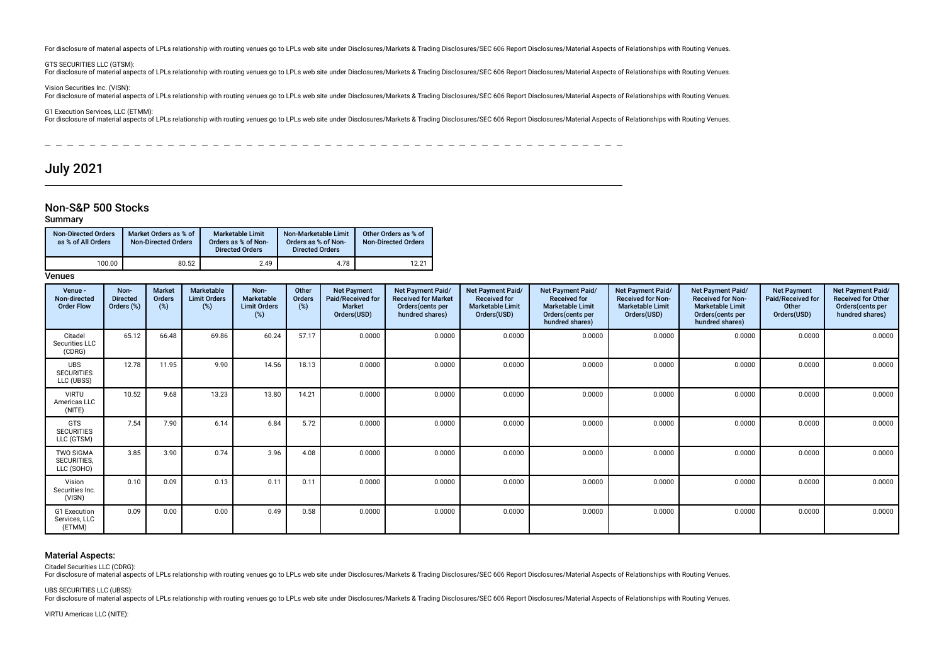For disclosure of material aspects of LPLs relationship with routing venues go to LPLs web site under Disclosures/Markets & Trading Disclosures/SEC 606 Report Disclosures/Material Aspects of Relationships with Routing Venu

GTS SECURITIES LLC (GTSM):

For disclosure of material aspects of LPLs relationship with routing venues go to LPLs web site under Disclosures/Markets & Trading Disclosures/SEC 606 Report Disclosures/Material Aspects of Relationships with Routing Venu

Vision Securities Inc. (VISN):

For disclosure of material aspects of LPLs relationship with routing venues go to LPLs web site under Disclosures/Markets & Trading Disclosures/SEC 606 Report Disclosures/Material Aspects of Relationships with Routing Venu

G1 Execution Services, LLC (ETMM):

For disclosure of material aspects of LPLs relationship with routing venues go to LPLs web site under Disclosures/Markets & Trading Disclosures/SEC 606 Report Disclosures/Material Aspects of Relationships with Routing Venu

 $\frac{1}{2}$  $- - - - -$ 

# July 2021

### Non-S&P 500 Stocks

#### Summary

| <b>Non-Directed Orders</b><br>as % of All Orders | Market Orders as % of<br>Non-Directed Orders | <b>Marketable Limit</b><br>Orders as % of Non-<br><b>Directed Orders</b> | Non-Marketable Limit<br>Orders as % of Non-<br><b>Directed Orders</b> | Other Orders as % of<br><b>Non-Directed Orders</b> |  |
|--------------------------------------------------|----------------------------------------------|--------------------------------------------------------------------------|-----------------------------------------------------------------------|----------------------------------------------------|--|
| 100.00                                           | 80.52                                        | 2.49                                                                     | 4.78                                                                  | 12.21                                              |  |

Venues

| Venue -<br>Non-directed<br><b>Order Flow</b>         | Non-<br><b>Directed</b><br>Orders (%) | Market<br>Orders<br>(%) | Marketable<br><b>Limit Orders</b><br>(%) | Non-<br>Marketable<br><b>Limit Orders</b><br>(%) | Other<br>Orders<br>(%) | <b>Net Payment</b><br>Paid/Received for<br><b>Market</b><br>Orders(USD) | <b>Net Payment Paid/</b><br><b>Received for Market</b><br>Orders(cents per<br>hundred shares) | <b>Net Payment Paid/</b><br><b>Received for</b><br><b>Marketable Limit</b><br>Orders(USD) | Net Payment Paid/<br><b>Received for</b><br><b>Marketable Limit</b><br>Orders(cents per<br>hundred shares) | <b>Net Payment Paid/</b><br><b>Received for Non-</b><br><b>Marketable Limit</b><br>Orders(USD) | <b>Net Payment Paid/</b><br><b>Received for Non-</b><br><b>Marketable Limit</b><br>Orders(cents per<br>hundred shares) | <b>Net Payment</b><br>Paid/Received for<br>Other<br>Orders(USD) | Net Payment Paid/<br><b>Received for Other</b><br>Orders(cents per<br>hundred shares) |
|------------------------------------------------------|---------------------------------------|-------------------------|------------------------------------------|--------------------------------------------------|------------------------|-------------------------------------------------------------------------|-----------------------------------------------------------------------------------------------|-------------------------------------------------------------------------------------------|------------------------------------------------------------------------------------------------------------|------------------------------------------------------------------------------------------------|------------------------------------------------------------------------------------------------------------------------|-----------------------------------------------------------------|---------------------------------------------------------------------------------------|
| Citadel<br>Securities LLC<br>(CDRG)                  | 65.12                                 | 66.48                   | 69.86                                    | 60.24                                            | 57.17                  | 0.0000                                                                  | 0.0000                                                                                        | 0.0000                                                                                    | 0.0000                                                                                                     | 0.0000                                                                                         | 0.0000                                                                                                                 | 0.0000                                                          | 0.0000                                                                                |
| <b>UBS</b><br><b>SECURITIES</b><br>LLC (UBSS)        | 12.78                                 | 11.95                   | 9.90                                     | 14.56                                            | 18.13                  | 0.0000                                                                  | 0.0000                                                                                        | 0.0000                                                                                    | 0.0000                                                                                                     | 0.0000                                                                                         | 0.0000                                                                                                                 | 0.0000                                                          | 0.0000                                                                                |
| <b>VIRTU</b><br>Americas LLC<br>(NITE)               | 10.52                                 | 9.68                    | 13.23                                    | 13.80                                            | 14.21                  | 0.0000                                                                  | 0.0000                                                                                        | 0.0000                                                                                    | 0.0000                                                                                                     | 0.0000                                                                                         | 0.0000                                                                                                                 | 0.0000                                                          | 0.0000                                                                                |
| <b>GTS</b><br><b>SECURITIES</b><br>LLC (GTSM)        | 7.54                                  | 7.90                    | 6.14                                     | 6.84                                             | 5.72                   | 0.0000                                                                  | 0.0000                                                                                        | 0.0000                                                                                    | 0.0000                                                                                                     | 0.0000                                                                                         | 0.0000                                                                                                                 | 0.0000                                                          | 0.0000                                                                                |
| <b>TWO SIGMA</b><br><b>SECURITIES.</b><br>LLC (SOHO) | 3.85                                  | 3.90                    | 0.74                                     | 3.96                                             | 4.08                   | 0.0000                                                                  | 0.0000                                                                                        | 0.0000                                                                                    | 0.0000                                                                                                     | 0.0000                                                                                         | 0.0000                                                                                                                 | 0.0000                                                          | 0.0000                                                                                |
| Vision<br>Securities Inc.<br>(VISN)                  | 0.10                                  | 0.09                    | 0.13                                     | 0.11                                             | 0.11                   | 0.0000                                                                  | 0.0000                                                                                        | 0.0000                                                                                    | 0.0000                                                                                                     | 0.0000                                                                                         | 0.0000                                                                                                                 | 0.0000                                                          | 0.0000                                                                                |
| G1 Execution<br>Services, LLC<br>(ETMM)              | 0.09                                  | 0.00                    | 0.00                                     | 0.49                                             | 0.58                   | 0.0000                                                                  | 0.0000                                                                                        | 0.0000                                                                                    | 0.0000                                                                                                     | 0.0000                                                                                         | 0.0000                                                                                                                 | 0.0000                                                          | 0.0000                                                                                |

#### Material Aspects:

Citadel Securities LLC (CDRG):

For disclosure of material aspects of LPLs relationship with routing venues go to LPLs web site under Disclosures/Markets & Trading Disclosures/SEC 606 Report Disclosures/Material Aspects of Relationships with Routing Venu

UBS SECURITIES LLC (UBSS):

For disclosure of material aspects of LPLs relationship with routing venues go to LPLs web site under Disclosures/Markets & Trading Disclosures/SEC 606 Report Disclosures/Material Aspects of Relationships with Routing Venu

VIRTU Americas LLC (NITE):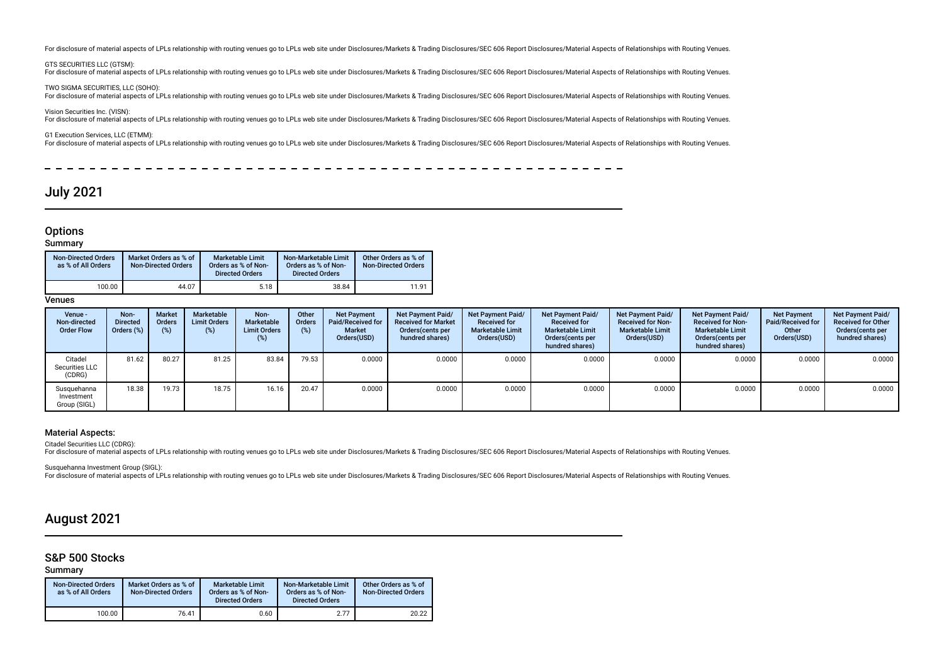For disclosure of material aspects of LPLs relationship with routing venues go to LPLs web site under Disclosures/Markets & Trading Disclosures/SEC 606 Report Disclosures/Material Aspects of Relationships with Routing Venu

#### GTS SECURITIES LLC (GTSM):

For disclosure of material aspects of LPLs relationship with routing venues go to LPLs web site under Disclosures/Markets & Trading Disclosures/SEC 606 Report Disclosures/Material Aspects of Relationships with Routing Venu

#### TWO SIGMA SECURITIES, LLC (SOHO):

For disclosure of material aspects of LPLs relationship with routing venues go to LPLs web site under Disclosures/Markets & Trading Disclosures/SEC 606 Report Disclosures/Material Aspects of Relationships with Routing Venu

#### Vision Securities Inc. (VISN):

For disclosure of material aspects of LPLs relationship with routing venues go to LPLs web site under Disclosures/Markets & Trading Disclosures/SEC 606 Report Disclosures/Material Aspects of Relationships with Routing Venu

### G1 Execution Services, LLC (ETMM):

For disclosure of material aspects of LPLs relationship with routing venues go to LPLs web site under Disclosures/Markets & Trading Disclosures/SEC 606 Report Disclosures/Material Aspects of Relationships with Routing Venu

\_\_\_\_\_\_\_\_\_\_\_\_\_\_\_\_\_\_\_\_\_

# July 2021

# **Options**

**Summary** 

| <b>Non-Directed Orders</b><br>as % of All Orders | Market Orders as % of<br><b>Non-Directed Orders</b> | <b>Marketable Limit</b><br>Orders as % of Non-<br><b>Directed Orders</b> | Non-Marketable Limit<br>Orders as % of Non-<br><b>Directed Orders</b> | Other Orders as % of<br><b>Non-Directed Orders</b> |
|--------------------------------------------------|-----------------------------------------------------|--------------------------------------------------------------------------|-----------------------------------------------------------------------|----------------------------------------------------|
| 100.00                                           | 44.07                                               | 5.18                                                                     | 38.84                                                                 | 11.91                                              |

**Venues** 

| Venue -<br>Non-directed<br><b>Order Flow</b> | Non-<br><b>Directed</b><br>Orders $(\%)$ | <b>Market</b><br><b>Orders</b><br>(%) | Marketable<br><b>Limit Orders</b><br>$(\%)$ | Non-<br><b>Marketable</b><br><b>Limit Orders</b><br>(%) | Other<br><b>Orders</b><br>(%) | <b>Net Payment</b><br>Paid/Received for<br>Market<br>Orders(USD) | Net Payment Paid/<br><b>Received for Market</b><br>Orders (cents per<br>hundred shares) | Net Payment Paid/<br><b>Received for</b><br><b>Marketable Limit</b><br>Orders(USD) | Net Payment Paid/<br><b>Received for</b><br><b>Marketable Limit</b><br>Orders (cents per<br>hundred shares) | <b>Net Payment Paid/</b><br><b>Received for Non-</b><br><b>Marketable Limit</b><br>Orders(USD) | Net Payment Paid/<br><b>Received for Non-</b><br><b>Marketable Limit</b><br>Orders(cents per<br>hundred shares) | <b>Net Payment</b><br><b>Paid/Received for</b><br>Other<br>Orders(USD) | Net Payment Paid/<br><b>Received for Other</b><br>Orders (cents per<br>hundred shares) |
|----------------------------------------------|------------------------------------------|---------------------------------------|---------------------------------------------|---------------------------------------------------------|-------------------------------|------------------------------------------------------------------|-----------------------------------------------------------------------------------------|------------------------------------------------------------------------------------|-------------------------------------------------------------------------------------------------------------|------------------------------------------------------------------------------------------------|-----------------------------------------------------------------------------------------------------------------|------------------------------------------------------------------------|----------------------------------------------------------------------------------------|
| Citadel<br>Securities LLC<br>(CDRG)          | 81.62                                    | 80.27                                 | 81.25                                       | 83.84                                                   | 79.53                         | 0.0000                                                           | 0.0000                                                                                  | 0.0000                                                                             | 0.0000                                                                                                      | 0.0000                                                                                         | 0.0000                                                                                                          | 0.0000                                                                 | $0.0000$ $\blacksquare$                                                                |
| Susquehanna<br>Investment<br>Group (SIGL)    | 18.38                                    | 19.73                                 | 18.75                                       | 16.16                                                   | 20.47                         | 0.0000                                                           | 0.0000                                                                                  | 0.0000                                                                             | 0.0000                                                                                                      | 0.0000                                                                                         | 0.0000                                                                                                          | 0.0000                                                                 | 0.0000                                                                                 |

### Material Aspects:

Citadel Securities LLC (CDRG):

For disclosure of material aspects of LPLs relationship with routing venues go to LPLs web site under Disclosures/Markets & Trading Disclosures/SEC 606 Report Disclosures/Material Aspects of Relationships with Routing Venu

Susquehanna Investment Group (SIGL): Expression in the control of the section of PLs relationship with routing venues go to LPLs web site under Disclosures/Markets & Trading Disclosures/SEC 606 Report Disclosures/Material Aspects of Relationships with Routing

# August 2021

### S&P 500 Stocks

Summary

| <b>Non-Directed Orders</b><br>as % of All Orders | Market Orders as % of<br><b>Non-Directed Orders</b> | <b>Marketable Limit</b><br>Orders as % of Non-<br><b>Directed Orders</b> | Non-Marketable Limit<br>Orders as % of Non-<br><b>Directed Orders</b> | Other Orders as % of<br><b>Non-Directed Orders</b> |
|--------------------------------------------------|-----------------------------------------------------|--------------------------------------------------------------------------|-----------------------------------------------------------------------|----------------------------------------------------|
| 100.00                                           | 76.41                                               | 0.60                                                                     | 2.77                                                                  | 20.22                                              |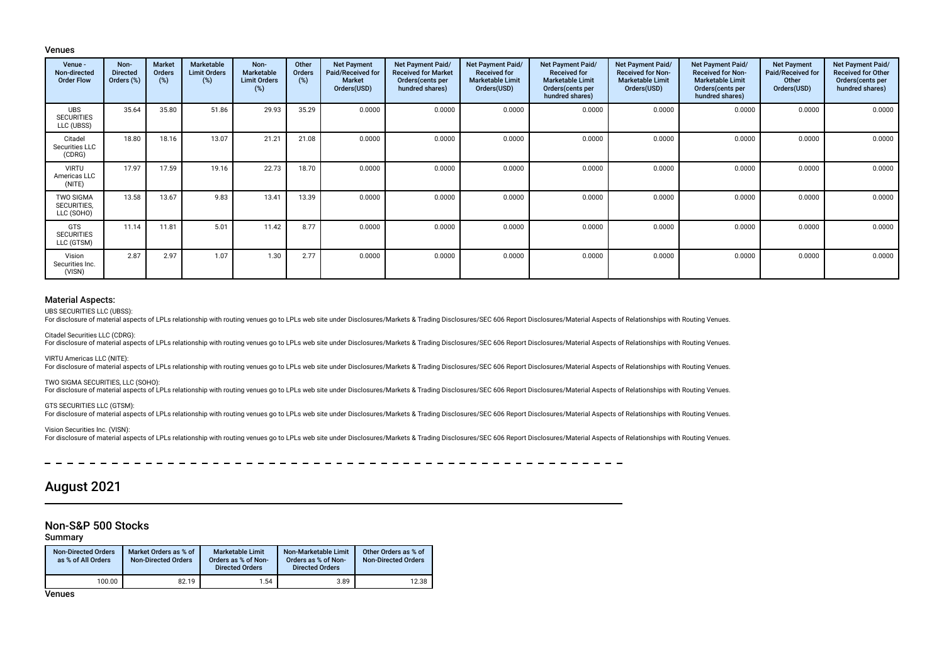#### Venues

| Venue -<br>Non-directed<br><b>Order Flow</b>  | Non-<br><b>Directed</b><br>Orders (%) | Market<br>Orders<br>(%) | <b>Marketable</b><br><b>Limit Orders</b><br>(%) | Non-<br>Marketable<br><b>Limit Orders</b><br>(%) | Other<br>Orders<br>(%) | <b>Net Payment</b><br><b>Paid/Received for</b><br><b>Market</b><br>Orders(USD) | Net Payment Paid/<br><b>Received for Market</b><br>Orders(cents per<br>hundred shares) | Net Payment Paid/<br><b>Received for</b><br><b>Marketable Limit</b><br>Orders(USD) | Net Payment Paid/<br><b>Received for</b><br><b>Marketable Limit</b><br>Orders(cents per<br>hundred shares) | <b>Net Payment Paid/</b><br><b>Received for Non-</b><br><b>Marketable Limit</b><br>Orders(USD) | Net Payment Paid/<br><b>Received for Non-</b><br><b>Marketable Limit</b><br>Orders(cents per<br>hundred shares) | <b>Net Payment</b><br>Paid/Received for<br>Other<br>Orders(USD) | <b>Net Payment Paid/</b><br><b>Received for Other</b><br>Orders(cents per<br>hundred shares) |
|-----------------------------------------------|---------------------------------------|-------------------------|-------------------------------------------------|--------------------------------------------------|------------------------|--------------------------------------------------------------------------------|----------------------------------------------------------------------------------------|------------------------------------------------------------------------------------|------------------------------------------------------------------------------------------------------------|------------------------------------------------------------------------------------------------|-----------------------------------------------------------------------------------------------------------------|-----------------------------------------------------------------|----------------------------------------------------------------------------------------------|
| <b>UBS</b><br><b>SECURITIES</b><br>LLC (UBSS) | 35.64                                 | 35.80                   | 51.86                                           | 29.93                                            | 35.29                  | 0.0000                                                                         | 0.0000                                                                                 | 0.0000                                                                             | 0.0000                                                                                                     | 0.0000                                                                                         | 0.0000                                                                                                          | 0.0000                                                          | 0.0000                                                                                       |
| Citadel<br>Securities LLC<br>(CDRG)           | 18.80                                 | 18.16                   | 13.07                                           | 21.21                                            | 21.08                  | 0.0000                                                                         | 0.0000                                                                                 | 0.0000                                                                             | 0.0000                                                                                                     | 0.0000                                                                                         | 0.0000                                                                                                          | 0.0000                                                          | 0.0000                                                                                       |
| <b>VIRTU</b><br>Americas LLC<br>(NITE)        | 17.97                                 | 17.59                   | 19.16                                           | 22.73                                            | 18.70                  | 0.0000                                                                         | 0.0000                                                                                 | 0.0000                                                                             | 0.0000                                                                                                     | 0.0000                                                                                         | 0.0000                                                                                                          | 0.0000                                                          | 0.0000                                                                                       |
| <b>TWO SIGMA</b><br>SECURITIES,<br>LLC (SOHO) | 13.58                                 | 13.67                   | 9.83                                            | 13.41                                            | 13.39                  | 0.0000                                                                         | 0.0000                                                                                 | 0.0000                                                                             | 0.0000                                                                                                     | 0.0000                                                                                         | 0.0000                                                                                                          | 0.0000                                                          | 0.0000                                                                                       |
| GTS<br><b>SECURITIES</b><br>LLC (GTSM)        | 11.14                                 | 11.81                   | 5.01                                            | 11.42                                            | 8.77                   | 0.0000                                                                         | 0.0000                                                                                 | 0.0000                                                                             | 0.0000                                                                                                     | 0.0000                                                                                         | 0.0000                                                                                                          | 0.0000                                                          | 0.0000                                                                                       |
| Vision<br>Securities Inc.<br>(VISN)           | 2.87                                  | 2.97                    | 1.07                                            | 1.30                                             | 2.77                   | 0.0000                                                                         | 0.0000                                                                                 | 0.0000                                                                             | 0.0000                                                                                                     | 0.0000                                                                                         | 0.0000                                                                                                          | 0.0000                                                          | 0.0000                                                                                       |

### Material Aspects:

UBS SECURITIES LLC (UBSS):

For disclosure of material aspects of LPLs relationship with routing venues go to LPLs web site under Disclosures/Markets & Trading Disclosures/SEC 606 Report Disclosures/Material Aspects of Relationships with Routing Venu

Citadel Securities LLC (CDRG):

For disclosure of material aspects of LPLs relationship with routing venues go to LPLs web site under Disclosures/Markets & Trading Disclosures/SEC 606 Report Disclosures/Material Aspects of Relationships with Routing Venu

VIRTU Americas LLC (NITE):

For disclosure of material aspects of LPLs relationship with routing venues go to LPLs web site under Disclosures/Markets & Trading Disclosures/SEC 606 Report Disclosures/Material Aspects of Relationships with Routing Venu

TWO SIGMA SECURITIES, LLC (SOHO):

For disclosure of material aspects of LPLs relationship with routing venues go to LPLs web site under Disclosures/Markets & Trading Disclosures/SEC 606 Report Disclosures/Material Aspects of Relationships with Routing Venu

GTS SECURITIES LLC (GTSM):

For disclosure of material aspects of LPLs relationship with routing venues go to LPLs web site under Disclosures/Markets & Trading Disclosures/SEC 606 Report Disclosures/Material Aspects of Relationships with Routing Venu

Vision Securities Inc. (VISN):

For disclosure of material aspects of LPLs relationship with routing venues go to LPLs web site under Disclosures/Markets & Trading Disclosures/SEC 606 Report Disclosures/Material Aspects of Relationships with Routing Venu

\_\_\_\_\_\_\_\_\_\_\_\_\_\_\_\_\_\_\_\_\_\_\_\_\_\_\_\_\_\_\_\_

# August 2021

## Non-S&P 500 Stocks

### Summary

| <b>Non-Directed Orders</b><br>as % of All Orders | Market Orders as % of<br><b>Non-Directed Orders</b> | <b>Marketable Limit</b><br>Orders as % of Non-<br><b>Directed Orders</b> | Non-Marketable Limit<br>Orders as % of Non-<br><b>Directed Orders</b> | Other Orders as % of<br><b>Non-Directed Orders</b> |
|--------------------------------------------------|-----------------------------------------------------|--------------------------------------------------------------------------|-----------------------------------------------------------------------|----------------------------------------------------|
| 100.00                                           | 82.19                                               | 1.54                                                                     | 3.89                                                                  | 12.38                                              |

**Venues**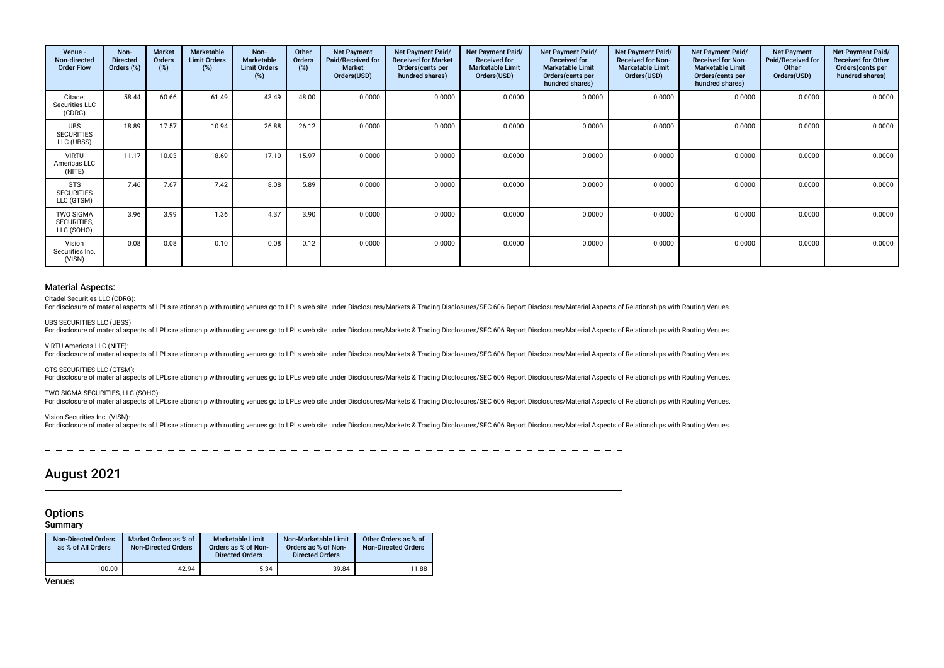| Venue -<br>Non-directed<br><b>Order Flow</b>  | Non-<br><b>Directed</b><br>Orders (%) | <b>Market</b><br>Orders<br>(%) | Marketable<br><b>Limit Orders</b><br>(%) | Non-<br><b>Marketable</b><br><b>Limit Orders</b><br>(%) | Other<br><b>Orders</b><br>(%) | <b>Net Payment</b><br>Paid/Received for<br><b>Market</b><br>Orders(USD) | <b>Net Payment Paid/</b><br><b>Received for Market</b><br>Orders (cents per<br>hundred shares) | Net Payment Paid/<br><b>Received for</b><br><b>Marketable Limit</b><br>Orders(USD) | Net Payment Paid/<br><b>Received for</b><br><b>Marketable Limit</b><br>Orders (cents per<br>hundred shares) | Net Payment Paid/<br><b>Received for Non-</b><br><b>Marketable Limit</b><br>Orders(USD) | Net Payment Paid/<br><b>Received for Non-</b><br><b>Marketable Limit</b><br>Orders (cents per<br>hundred shares) | <b>Net Payment</b><br>Paid/Received for<br>Other<br>Orders(USD) | Net Payment Paid/<br><b>Received for Other</b><br>Orders (cents per<br>hundred shares) |
|-----------------------------------------------|---------------------------------------|--------------------------------|------------------------------------------|---------------------------------------------------------|-------------------------------|-------------------------------------------------------------------------|------------------------------------------------------------------------------------------------|------------------------------------------------------------------------------------|-------------------------------------------------------------------------------------------------------------|-----------------------------------------------------------------------------------------|------------------------------------------------------------------------------------------------------------------|-----------------------------------------------------------------|----------------------------------------------------------------------------------------|
| Citadel<br>Securities LLC<br>(CDRG)           | 58.44                                 | 60.66                          | 61.49                                    | 43.49                                                   | 48.00                         | 0.0000                                                                  | 0.0000                                                                                         | 0.0000                                                                             | 0.0000                                                                                                      | 0.0000                                                                                  | 0.0000                                                                                                           | 0.0000                                                          | 0.0000                                                                                 |
| <b>UBS</b><br><b>SECURITIES</b><br>LLC (UBSS) | 18.89                                 | 17.57                          | 10.94                                    | 26.88                                                   | 26.12                         | 0.0000                                                                  | 0.0000                                                                                         | 0.0000                                                                             | 0.0000                                                                                                      | 0.0000                                                                                  | 0.0000                                                                                                           | 0.0000                                                          | 0.0000                                                                                 |
| <b>VIRTU</b><br>Americas LLC<br>(NITE)        | 11.17                                 | 10.03                          | 18.69                                    | 17.10                                                   | 15.97                         | 0.0000                                                                  | 0.0000                                                                                         | 0.0000                                                                             | 0.0000                                                                                                      | 0.0000                                                                                  | 0.0000                                                                                                           | 0.0000                                                          | 0.0000                                                                                 |
| <b>GTS</b><br><b>SECURITIES</b><br>LLC (GTSM) | 7.46                                  | 7.67                           | 7.42                                     | 8.08                                                    | 5.89                          | 0.0000                                                                  | 0.0000                                                                                         | 0.0000                                                                             | 0.0000                                                                                                      | 0.0000                                                                                  | 0.0000                                                                                                           | 0.0000                                                          | 0.0000                                                                                 |
| <b>TWO SIGMA</b><br>SECURITIES,<br>LLC (SOHO) | 3.96                                  | 3.99                           | 1.36                                     | 4.37                                                    | 3.90                          | 0.0000                                                                  | 0.0000                                                                                         | 0.0000                                                                             | 0.0000                                                                                                      | 0.0000                                                                                  | 0.0000                                                                                                           | 0.0000                                                          | 0.0000                                                                                 |
| Vision<br>Securities Inc.<br>(VISN)           | 0.08                                  | 0.08                           | 0.10                                     | 0.08                                                    | 0.12                          | 0.0000                                                                  | 0.0000                                                                                         | 0.0000                                                                             | 0.0000                                                                                                      | 0.0000                                                                                  | 0.0000                                                                                                           | 0.0000                                                          | 0.0000                                                                                 |

### Material Aspects:

Citadel Securities LLC (CDRG):

For disclosure of material aspects of LPLs relationship with routing venues go to LPLs web site under Disclosures/Markets & Trading Disclosures/SEC 606 Report Disclosures/Material Aspects of Relationships with Routing Venu

UBS SECURITIES LLC (UBSS):

For disclosure of material aspects of LPLs relationship with routing venues go to LPLs web site under Disclosures/Markets & Trading Disclosures/SEC 606 Report Disclosures/Material Aspects of Relationships with Routing Venu

#### VIRTU Americas LLC (NITE):

For disclosure of material aspects of LPLs relationship with routing venues go to LPLs web site under Disclosures/Markets & Trading Disclosures/SEC 606 Report Disclosures/Material Aspects of Relationships with Routing Venu

GTS SECURITIES LLC (GTSM):<br>For disclosure of material aspects of LPLs relationship with routing venues go to LPLs web site under Disclosures/Markets & Trading Disclosures/SEC 606 Report Disclosures/Material Aspects of Rela

#### TWO SIGMA SECURITIES, LLC (SOHO):

For disclosure of material aspects of LPLs relationship with routing venues go to LPLs web site under Disclosures/Markets & Trading Disclosures/SEC 606 Report Disclosures/Material Aspects of Relationships with Routing Venu

#### Vision Securities Inc. (VISN):

For disclosure of material aspects of LPLs relationship with routing venues go to LPLs web site under Disclosures/Markets & Trading Disclosures/SEC 606 Report Disclosures/Material Aspects of Relationships with Routing Venu

# August 2021

# **Options**

**Summary** 

| <b>Non-Directed Orders</b><br>as % of All Orders | Market Orders as % of<br><b>Non-Directed Orders</b> | <b>Marketable Limit</b><br>Orders as % of Non-<br><b>Directed Orders</b> | Non-Marketable Limit<br>Orders as % of Non-<br><b>Directed Orders</b> | Other Orders as % of<br><b>Non-Directed Orders</b> |
|--------------------------------------------------|-----------------------------------------------------|--------------------------------------------------------------------------|-----------------------------------------------------------------------|----------------------------------------------------|
| 100.00                                           | 42.94                                               | 5.34                                                                     | 39.84                                                                 | 11.88                                              |

**Venues**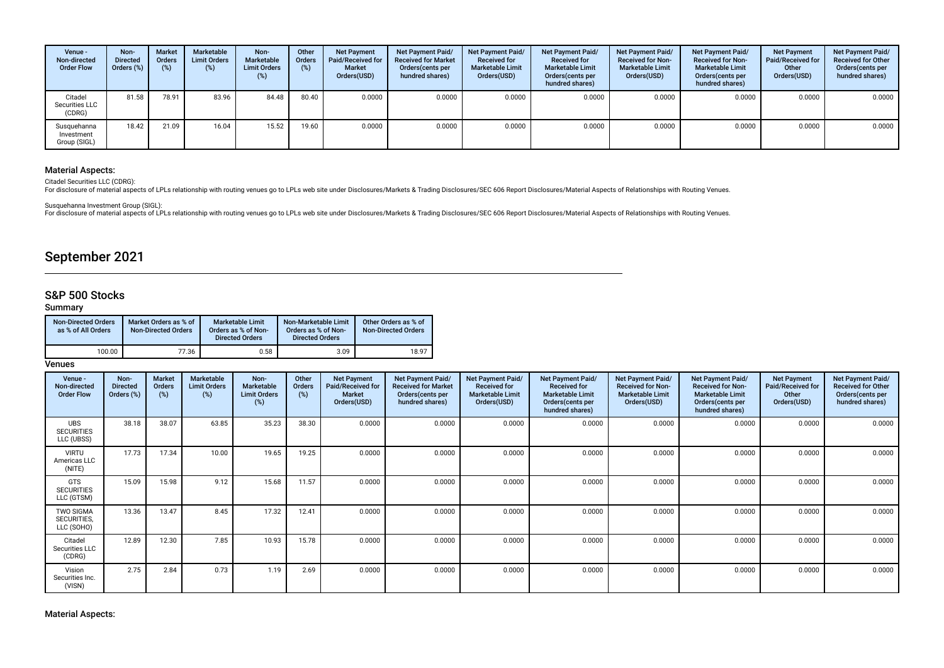| Venue -<br>Non-directed<br><b>Order Flow</b> | Non-<br><b>Directed</b><br>Orders (%) | <b>Market</b><br>Orders<br>(%) | Marketable<br><b>Limit Orders</b><br>(%) | Non-<br>Marketable<br><b>Limit Orders</b><br>(%) | Other<br>Orders<br>$(\%)$ | <b>Net Payment</b><br><b>Paid/Received for</b><br>Market<br>Orders(USD) | Net Payment Paid/<br><b>Received for Market</b><br>Orders (cents per<br>hundred shares) | Net Payment Paid/<br><b>Received for</b><br><b>Marketable Limit</b><br>Orders(USD) | Net Payment Paid/<br><b>Received for</b><br><b>Marketable Limit</b><br>Orders(cents per<br>hundred shares) | <b>Net Payment Paid/</b><br><b>Received for Non-</b><br><b>Marketable Limit</b><br>Orders(USD) | Net Payment Paid/<br><b>Received for Non-</b><br><b>Marketable Limit</b><br>Orders (cents per<br>hundred shares) | <b>Net Payment</b><br>Paid/Received for<br>Other<br>Orders(USD) | Net Payment Paid/<br><b>Received for Other</b><br>Orders(cents per<br>hundred shares) |
|----------------------------------------------|---------------------------------------|--------------------------------|------------------------------------------|--------------------------------------------------|---------------------------|-------------------------------------------------------------------------|-----------------------------------------------------------------------------------------|------------------------------------------------------------------------------------|------------------------------------------------------------------------------------------------------------|------------------------------------------------------------------------------------------------|------------------------------------------------------------------------------------------------------------------|-----------------------------------------------------------------|---------------------------------------------------------------------------------------|
| Citadel<br>Securities LLC<br>(CDRG)          | 81.58                                 | 78.91                          | 83.96                                    | 84.48                                            | 80.40                     | 0.0000                                                                  | 0.0000                                                                                  | 0.0000                                                                             | 0.0000                                                                                                     | 0.0000                                                                                         | 0.0000                                                                                                           | 0.0000                                                          | 0.0000                                                                                |
| Susquehanna<br>Investment<br>Group (SIGL)    | 18.42                                 | 21.09                          | 16.04                                    | 15.52                                            | 19.60                     | 0.0000                                                                  | 0.0000                                                                                  | 0.0000                                                                             | 0.0000                                                                                                     | 0.0000                                                                                         | 0.0000                                                                                                           | 0.0000                                                          | 0.0000                                                                                |

### Material Aspects:

Citadel Securities LLC (CDRG):

For disclosure of material aspects of LPLs relationship with routing venues go to LPLs web site under Disclosures/Markets & Trading Disclosures/SEC 606 Report Disclosures/Material Aspects of Relationships with Routing Venu

Susquehanna Investment Group (SIGL):<br>For disclosure of material aspects of LPLs relationship with routing venues go to LPLs web site under Disclosures/Markets & Trading Disclosures/SEC 606 Report Disclosures/Material Aspec

# September 2021

# S&P 500 Stocks

### Summary

| <b>Non-Directed Orders</b><br>as % of All Orders | Market Orders as % of<br><b>Non-Directed Orders</b> | <b>Marketable Limit</b><br>Orders as % of Non-<br><b>Directed Orders</b> | Non-Marketable Limit<br>Orders as % of Non-<br><b>Directed Orders</b> | Other Orders as % of<br><b>Non-Directed Orders</b> |  |  |
|--------------------------------------------------|-----------------------------------------------------|--------------------------------------------------------------------------|-----------------------------------------------------------------------|----------------------------------------------------|--|--|
| 100.00                                           | 77.36                                               | 0.58                                                                     | 3.09                                                                  | 18.97                                              |  |  |

### **Venues**

| Venue -<br>Non-directed<br><b>Order Flow</b>  | Non-<br><b>Directed</b><br>Orders (%) | Market<br>Orders<br>(%) | Marketable<br><b>Limit Orders</b><br>(%) | Non-<br><b>Marketable</b><br><b>Limit Orders</b><br>(%) | Other<br><b>Orders</b><br>(%) | <b>Net Payment</b><br>Paid/Received for<br><b>Market</b><br>Orders(USD) | <b>Net Payment Paid/</b><br><b>Received for Market</b><br>Orders (cents per<br>hundred shares) | Net Payment Paid/<br><b>Received for</b><br><b>Marketable Limit</b><br>Orders(USD) | <b>Net Payment Paid/</b><br><b>Received for</b><br><b>Marketable Limit</b><br>Orders (cents per<br>hundred shares) | Net Payment Paid/<br><b>Received for Non-</b><br><b>Marketable Limit</b><br>Orders(USD) | Net Payment Paid/<br><b>Received for Non-</b><br><b>Marketable Limit</b><br>Orders(cents per<br>hundred shares) | <b>Net Payment</b><br>Paid/Received for<br>Other<br>Orders(USD) | Net Payment Paid/<br><b>Received for Other</b><br>Orders (cents per<br>hundred shares) |
|-----------------------------------------------|---------------------------------------|-------------------------|------------------------------------------|---------------------------------------------------------|-------------------------------|-------------------------------------------------------------------------|------------------------------------------------------------------------------------------------|------------------------------------------------------------------------------------|--------------------------------------------------------------------------------------------------------------------|-----------------------------------------------------------------------------------------|-----------------------------------------------------------------------------------------------------------------|-----------------------------------------------------------------|----------------------------------------------------------------------------------------|
| <b>UBS</b><br><b>SECURITIES</b><br>LLC (UBSS) | 38.18                                 | 38.07                   | 63.85                                    | 35.23                                                   | 38.30                         | 0.0000                                                                  | 0.0000                                                                                         | 0.0000                                                                             | 0.0000                                                                                                             | 0.0000                                                                                  | 0.0000                                                                                                          | 0.0000                                                          | 0.0000                                                                                 |
| <b>VIRTU</b><br>Americas LLC<br>(NITE)        | 17.73                                 | 17.34                   | 10.00                                    | 19.65                                                   | 19.25                         | 0.0000                                                                  | 0.0000                                                                                         | 0.0000                                                                             | 0.0000                                                                                                             | 0.0000                                                                                  | 0.0000                                                                                                          | 0.0000                                                          | 0.0000                                                                                 |
| <b>GTS</b><br><b>SECURITIES</b><br>LLC (GTSM) | 15.09                                 | 15.98                   | 9.12                                     | 15.68                                                   | 11.57                         | 0.0000                                                                  | 0.0000                                                                                         | 0.0000                                                                             | 0.0000                                                                                                             | 0.0000                                                                                  | 0.0000                                                                                                          | 0.0000                                                          | 0.0000                                                                                 |
| TWO SIGMA<br>SECURITIES,<br>LLC (SOHO)        | 13.36                                 | 13.47                   | 8.45                                     | 17.32                                                   | 12.41                         | 0.0000                                                                  | 0.0000                                                                                         | 0.0000                                                                             | 0.0000                                                                                                             | 0.0000                                                                                  | 0.0000                                                                                                          | 0.0000                                                          | 0.0000                                                                                 |
| Citadel<br>Securities LLC<br>(CDRG)           | 12.89                                 | 12.30                   | 7.85                                     | 10.93                                                   | 15.78                         | 0.0000                                                                  | 0.0000                                                                                         | 0.0000                                                                             | 0.0000                                                                                                             | 0.0000                                                                                  | 0.0000                                                                                                          | 0.0000                                                          | 0.0000                                                                                 |
| Vision<br>Securities Inc.<br>(VISN)           | 2.75                                  | 2.84                    | 0.73                                     | 1.19                                                    | 2.69                          | 0.0000                                                                  | 0.0000                                                                                         | 0.0000                                                                             | 0.0000                                                                                                             | 0.0000                                                                                  | 0.0000                                                                                                          | 0.0000                                                          | 0.0000                                                                                 |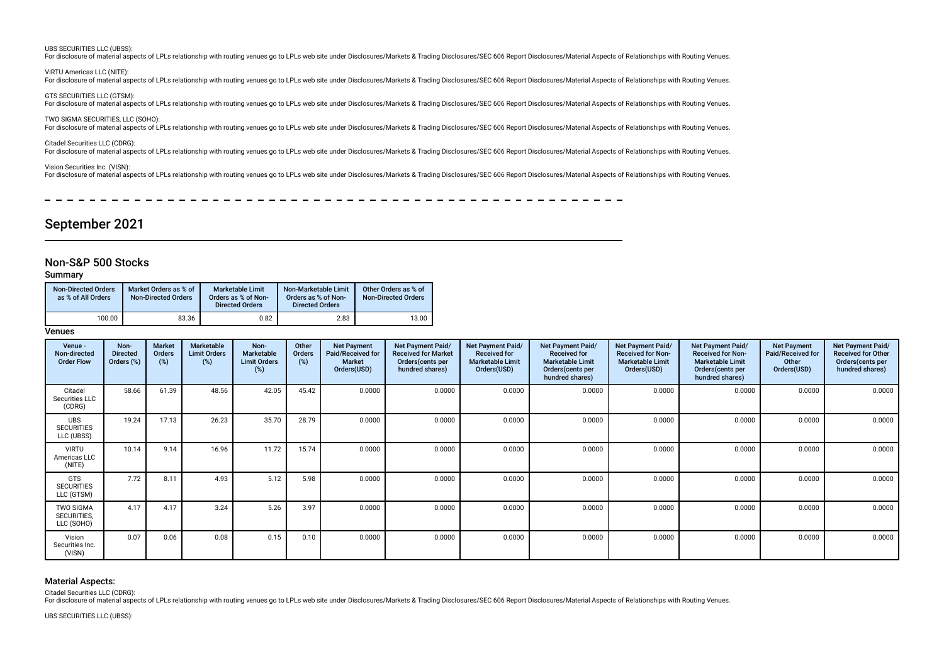#### UBS SECURITIES LLC (UBSS):

For disclosure of material aspects of LPLs relationship with routing venues go to LPLs web site under Disclosures/Markets & Trading Disclosures/SEC 606 Report Disclosures/Material Aspects of Relationships with Routing Venu

VIRTU Americas LLC (NITE):

For disclosure of material aspects of LPLs relationship with routing venues go to LPLs web site under Disclosures/Markets & Trading Disclosures/SEC 606 Report Disclosures/Material Aspects of Relationships with Routing Venu

GTS SECURITIES LLC (GTSM): For disclosure of material aspects of LPLs relationship with routing venues go to LPLs web site under Disclosures/Markets & Trading Disclosures/SEC 606 Report Disclosures/Material Aspects of Relationships with Routing Venu

TWO SIGMA SECURITIES, LLC (SOHO): For disclosure of material aspects of LPLs relationship with routing venues go to LPLs web site under Disclosures/Markets & Trading Disclosures/SEC 606 Report Disclosures/Material Aspects of Relationships with Routing Venu

Citadel Securities LLC (CDRG):

For disclosure of material aspects of LPLs relationship with routing venues go to LPLs web site under Disclosures/Markets & Trading Disclosures/SEC 606 Report Disclosures/Material Aspects of Relationships with Routing Venu

Vision Securities Inc. (VISN):

For disclosure of material aspects of LPLs relationship with routing venues go to LPLs web site under Disclosures/Markets & Trading Disclosures/SEC 606 Report Disclosures/Material Aspects of Relationships with Routing Venu

# September 2021

### Non-S&P 500 Stocks

#### Summary

| Non-Directed Orders<br>as % of All Orders | Market Orders as % of<br><b>Non-Directed Orders</b> | Marketable Limit<br>Orders as % of Non-<br><b>Directed Orders</b> | Non-Marketable Limit<br>Orders as % of Non-<br><b>Directed Orders</b> | Other Orders as % of<br><b>Non-Directed Orders</b> |  |  |
|-------------------------------------------|-----------------------------------------------------|-------------------------------------------------------------------|-----------------------------------------------------------------------|----------------------------------------------------|--|--|
| 100.00                                    | 83.36                                               | 0.82                                                              | 2.83                                                                  | 13.00                                              |  |  |

#### Venues

| Venue -<br>Non-directed<br><b>Order Flow</b>  | Non-<br><b>Directed</b><br>Orders (%) | Market<br>Orders<br>(%) | Marketable<br><b>Limit Orders</b><br>$(\%)$ | Non-<br><b>Marketable</b><br><b>Limit Orders</b><br>(%) | Other<br>Orders<br>(%) | <b>Net Payment</b><br><b>Paid/Received for</b><br><b>Market</b><br>Orders(USD) | <b>Net Payment Paid/</b><br><b>Received for Market</b><br>Orders(cents per<br>hundred shares) | Net Payment Paid/<br><b>Received for</b><br><b>Marketable Limit</b><br>Orders(USD) | <b>Net Payment Paid/</b><br><b>Received for</b><br><b>Marketable Limit</b><br>Orders(cents per<br>hundred shares) | Net Payment Paid/<br><b>Received for Non-</b><br><b>Marketable Limit</b><br>Orders(USD) | Net Payment Paid/<br><b>Received for Non-</b><br><b>Marketable Limit</b><br>Orders (cents per<br>hundred shares) | <b>Net Payment</b><br>Paid/Received for<br>Other<br>Orders(USD) | Net Payment Paid/<br><b>Received for Other</b><br>Orders(cents per<br>hundred shares) |
|-----------------------------------------------|---------------------------------------|-------------------------|---------------------------------------------|---------------------------------------------------------|------------------------|--------------------------------------------------------------------------------|-----------------------------------------------------------------------------------------------|------------------------------------------------------------------------------------|-------------------------------------------------------------------------------------------------------------------|-----------------------------------------------------------------------------------------|------------------------------------------------------------------------------------------------------------------|-----------------------------------------------------------------|---------------------------------------------------------------------------------------|
| Citadel<br>Securities LLC<br>(CDRG)           | 58.66                                 | 61.39                   | 48.56                                       | 42.05                                                   | 45.42                  | 0.0000                                                                         | 0.0000                                                                                        | 0.0000                                                                             | 0.0000                                                                                                            | 0.0000                                                                                  | 0.0000                                                                                                           | 0.0000                                                          | 0.0000                                                                                |
| <b>UBS</b><br><b>SECURITIES</b><br>LLC (UBSS) | 19.24                                 | 17.13                   | 26.23                                       | 35.70                                                   | 28.79                  | 0.0000                                                                         | 0.0000                                                                                        | 0.0000                                                                             | 0.0000                                                                                                            | 0.0000                                                                                  | 0.0000                                                                                                           | 0.0000                                                          | 0.0000                                                                                |
| <b>VIRTU</b><br>Americas LLC<br>(NITE)        | 10.14                                 | 9.14                    | 16.96                                       | 11.72                                                   | 15.74                  | 0.0000                                                                         | 0.0000                                                                                        | 0.0000                                                                             | 0.0000                                                                                                            | 0.0000                                                                                  | 0.0000                                                                                                           | 0.0000                                                          | 0.0000                                                                                |
| <b>GTS</b><br><b>SECURITIES</b><br>LLC (GTSM) | 7.72                                  | 8.11                    | 4.93                                        | 5.12                                                    | 5.98                   | 0.0000                                                                         | 0.0000                                                                                        | 0.0000                                                                             | 0.0000                                                                                                            | 0.0000                                                                                  | 0.0000                                                                                                           | 0.0000                                                          | 0.0000                                                                                |
| <b>TWO SIGMA</b><br>SECURITIES,<br>LLC (SOHO) | 4.17                                  | 4.17                    | 3.24                                        | 5.26                                                    | 3.97                   | 0.0000                                                                         | 0.0000                                                                                        | 0.0000                                                                             | 0.0000                                                                                                            | 0.0000                                                                                  | 0.0000                                                                                                           | 0.0000                                                          | 0.0000                                                                                |
| Vision<br>Securities Inc.<br>(VISN)           | 0.07                                  | 0.06                    | 0.08                                        | 0.15                                                    | 0.10                   | 0.0000                                                                         | 0.0000                                                                                        | 0.0000                                                                             | 0.0000                                                                                                            | 0.0000                                                                                  | 0.0000                                                                                                           | 0.0000                                                          | 0.0000                                                                                |

### Material Aspects:

Citadel Securities LLC (CDRG):

For disclosure of material aspects of LPLs relationship with routing venues go to LPLs web site under Disclosures/Markets & Trading Disclosures/SEC 606 Report Disclosures/Material Aspects of Relationships with Routing Venu